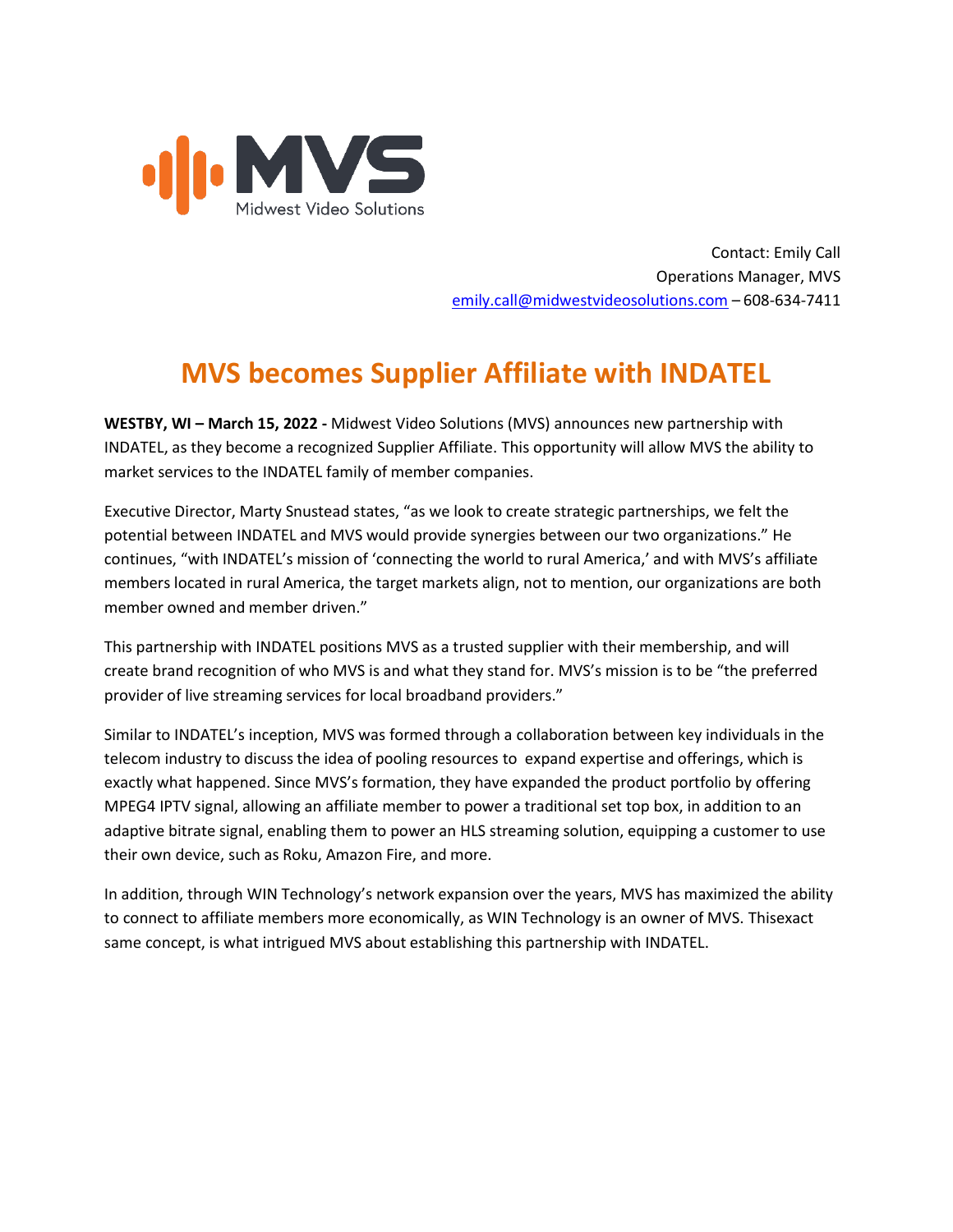

Contact: Emily Call Operations Manager, MVS [emily.call@midwestvideosolutions.com](mailto:emily.call@midwestvideosolutions.com) – 608-634-7411

## **MVS becomes Supplier Affiliate with INDATEL**

**WESTBY, WI – March 15, 2022 -** Midwest Video Solutions (MVS) announces new partnership with INDATEL, as they become a recognized Supplier Affiliate. This opportunity will allow MVS the ability to market services to the INDATEL family of member companies.

Executive Director, Marty Snustead states, "as we look to create strategic partnerships, we felt the potential between INDATEL and MVS would provide synergies between our two organizations." He continues, "with INDATEL's mission of 'connecting the world to rural America,' and with MVS's affiliate members located in rural America, the target markets align, not to mention, our organizations are both member owned and member driven."

This partnership with INDATEL positions MVS as a trusted supplier with their membership, and will create brand recognition of who MVS is and what they stand for. MVS's mission is to be "the preferred provider of live streaming services for local broadband providers."

Similar to INDATEL's inception, MVS was formed through a collaboration between key individuals in the telecom industry to discuss the idea of pooling resources to expand expertise and offerings, which is exactly what happened. Since MVS's formation, they have expanded the product portfolio by offering MPEG4 IPTV signal, allowing an affiliate member to power a traditional set top box, in addition to an adaptive bitrate signal, enabling them to power an HLS streaming solution, equipping a customer to use their own device, such as Roku, Amazon Fire, and more.

In addition, through WIN Technology's network expansion over the years, MVS has maximized the ability to connect to affiliate members more economically, as WIN Technology is an owner of MVS. Thisexact same concept, is what intrigued MVS about establishing this partnership with INDATEL.